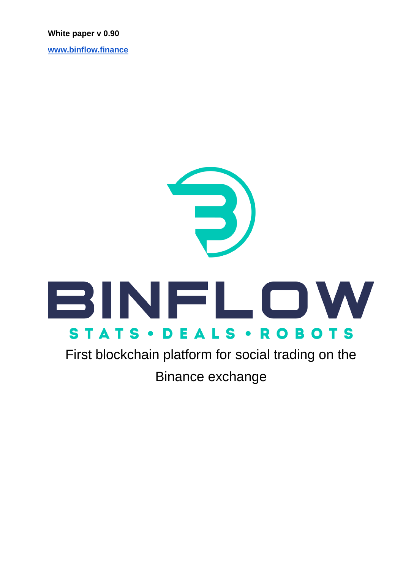#### **White paper v 0.90**

**[www.binflow.finance](http://www.binflow.finance/)**

# 3 BINFLOW **STATS · DEALS · ROBOTS**

First blockchain platform for social trading on the Binance exchange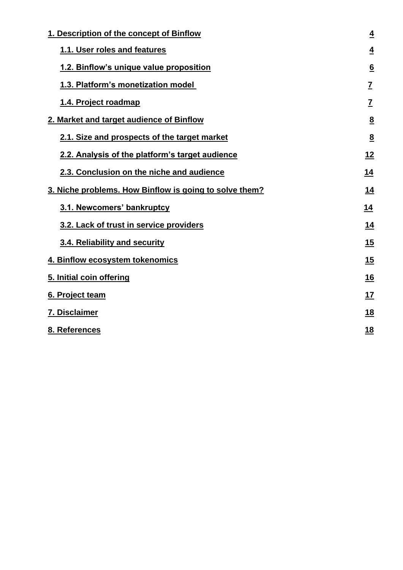| 1. Description of the concept of Binflow               |                 |
|--------------------------------------------------------|-----------------|
| 1.1. User roles and features                           | <u>4</u>        |
| 1.2. Binflow's unique value proposition                | $\underline{6}$ |
| 1.3. Platform's monetization model                     | $\overline{I}$  |
| 1.4. Project roadmap                                   | $\underline{7}$ |
| 2. Market and target audience of Binflow               | $\underline{8}$ |
| 2.1. Size and prospects of the target market           | 8               |
| 2.2. Analysis of the platform's target audience        | <u> 12</u>      |
| 2.3. Conclusion on the niche and audience              | <u>14</u>       |
| 3. Niche problems. How Binflow is going to solve them? |                 |
| 3.1. Newcomers' bankruptcy                             | 14              |
| 3.2. Lack of trust in service providers                | 14              |
| 3.4. Reliability and security                          | <u>15</u>       |
| 4. Binflow ecosystem tokenomics                        | 15              |
| 5. Initial coin offering                               | <u>16</u>       |
| 6. Project team                                        | <u>17</u>       |
| 7. Disclaimer                                          | <u>18</u>       |
| 8. References                                          | 18              |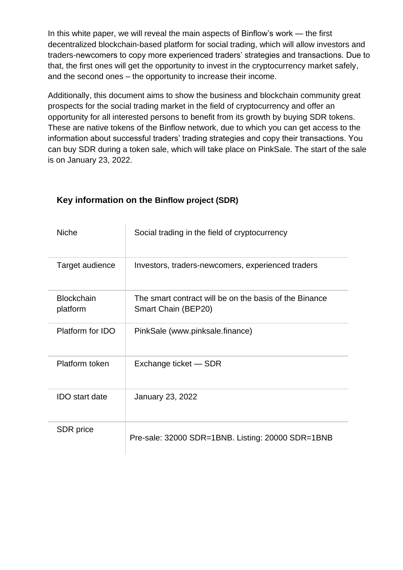In this white paper, we will reveal the main aspects of Binflow's work — the first decentralized blockchain-based platform for social trading, which will allow investors and traders-newcomers to copy more experienced traders' strategies and transactions. Due to that, the first ones will get the opportunity to invest in the cryptocurrency market safely, and the second ones – the opportunity to increase their income.

Additionally, this document aims to show the business and blockchain community great prospects for the social trading market in the field of cryptocurrency and offer an opportunity for all interested persons to benefit from its growth by buying SDR tokens. These are native tokens of the Binflow network, due to which you can get access to the information about successful traders' trading strategies and copy their transactions. You can buy SDR during a token sale, which will take place on PinkSale. The start of the sale is on January 23, 2022.

| <b>Niche</b>                  | Social trading in the field of cryptocurrency                                 |
|-------------------------------|-------------------------------------------------------------------------------|
| Target audience               | Investors, traders-newcomers, experienced traders                             |
| <b>Blockchain</b><br>platform | The smart contract will be on the basis of the Binance<br>Smart Chain (BEP20) |
| Platform for IDO              | PinkSale (www.pinksale.finance)                                               |
| Platform token                | Exchange ticket - SDR                                                         |
| <b>IDO</b> start date         | <b>January 23, 2022</b>                                                       |
| SDR price                     | Pre-sale: 32000 SDR=1BNB. Listing: 20000 SDR=1BNB                             |

#### **Key information on the Binflow project (SDR)**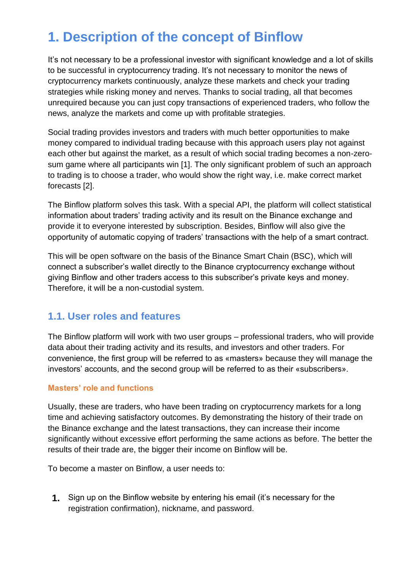# **1. Description of the concept of Binflow**

It's not necessary to be a professional investor with significant knowledge and a lot of skills to be successful in cryptocurrency trading. It's not necessary to monitor the news of cryptocurrency markets continuously, analyze these markets and check your trading strategies while risking money and nerves. Thanks to social trading, all that becomes unrequired because you can just copy transactions of experienced traders, who follow the news, analyze the markets and come up with profitable strategies.

Social trading provides investors and traders with much better opportunities to make money compared to individual trading because with this approach users play not against each other but against the market, as a result of which social trading becomes a non-zerosum game where all participants win [1]. The only significant problem of such an approach to trading is to choose a trader, who would show the right way, i.e. make correct market forecasts [2].

The Binflow platform solves this task. With a special API, the platform will collect statistical information about traders' trading activity and its result on the Binance exchange and provide it to everyone interested by subscription. Besides, Binflow will also give the opportunity of automatic copying of traders' transactions with the help of a smart contract.

This will be open software on the basis of the Binance Smart Chain (BSC), which will connect a subscriber's wallet directly to the Binance cryptocurrency exchange without giving Binflow and other traders access to this subscriber's private keys and money. Therefore, it will be a non-custodial system.

#### **1.1. User roles and features**

The Binflow platform will work with two user groups – professional traders, who will provide data about their trading activity and its results, and investors and other traders. For convenience, the first group will be referred to as «masters» because they will manage the investors' accounts, and the second group will be referred to as their «subscribers».

#### **Masters' role and functions**

Usually, these are traders, who have been trading on cryptocurrency markets for a long time and achieving satisfactory outcomes. By demonstrating the history of their trade on the Binance exchange and the latest transactions, they can increase their income significantly without excessive effort performing the same actions as before. The better the results of their trade are, the bigger their income on Binflow will be.

To become a master on Binflow, a user needs to:

**1.** Sign up on the Binflow website by entering his email (it's necessary for the registration confirmation), nickname, and password.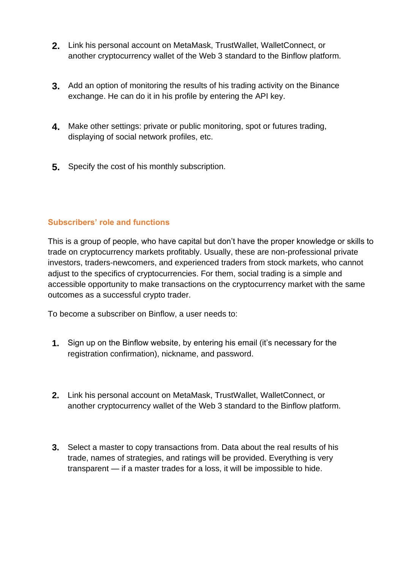- **2.** Link his personal account on MetaMask, TrustWallet, WalletConnect, or another cryptocurrency wallet of the Web 3 standard to the Binflow platform.
- **3.** Add an option of monitoring the results of his trading activity on the Binance exchange. He can do it in his profile by entering the API key.
- **4.** Make other settings: private or public monitoring, spot or futures trading, displaying of social network profiles, etc.
- **5.** Specify the cost of his monthly subscription.

#### **Subscribers' role and functions**

This is a group of people, who have capital but don't have the proper knowledge or skills to trade on cryptocurrency markets profitably. Usually, these are non-professional private investors, traders-newcomers, and experienced traders from stock markets, who cannot adjust to the specifics of cryptocurrencies. For them, social trading is a simple and accessible opportunity to make transactions on the cryptocurrency market with the same outcomes as a successful crypto trader.

To become a subscriber on Binflow, a user needs to:

- **1.** Sign up on the Binflow website, by entering his email (it's necessary for the registration confirmation), nickname, and password.
- **2.** Link his personal account on MetaMask, TrustWallet, WalletConnect, or another cryptocurrency wallet of the Web 3 standard to the Binflow platform.
- **3.** Select a master to copy transactions from. Data about the real results of his trade, names of strategies, and ratings will be provided. Everything is very transparent — if a master trades for a loss, it will be impossible to hide.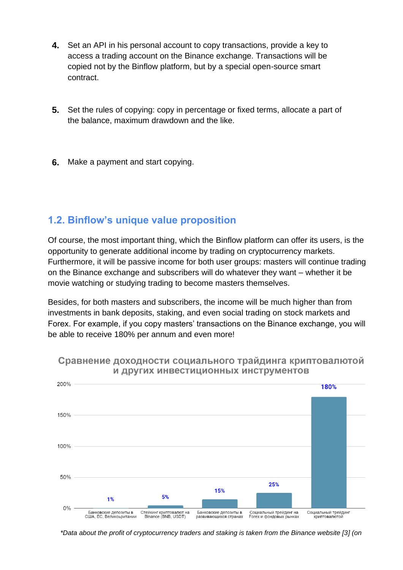- **4.** Set an API in his personal account to copy transactions, provide a key to access a trading account on the Binance exchange. Transactions will be copied not by the Binflow platform, but by a special open-source smart contract.
- **5.** Set the rules of copying: copy in percentage or fixed terms, allocate a part of the balance, maximum drawdown and the like.
- **6.** Make a payment and start copying.

## **1.2. Binflow's unique value proposition**

Of course, the most important thing, which the Binflow platform can offer its users, is the opportunity to generate additional income by trading on cryptocurrency markets. Furthermore, it will be passive income for both user groups: masters will continue trading on the Binance exchange and subscribers will do whatever they want – whether it be movie watching or studying trading to become masters themselves.

Besides, for both masters and subscribers, the income will be much higher than from investments in bank deposits, staking, and even social trading on stock markets and Forex. For example, if you copy masters' transactions on the Binance exchange, you will be able to receive 180% per annum and even more!



#### Сравнение доходности социального трайдинга криптовалютой И ДРУГИХ ИНВЕСТИЦИОННЫХ ИНСТРУМЕНТОВ

*\*Data about the profit of cryptocurrency traders and staking is taken from the Binance website [3] (on*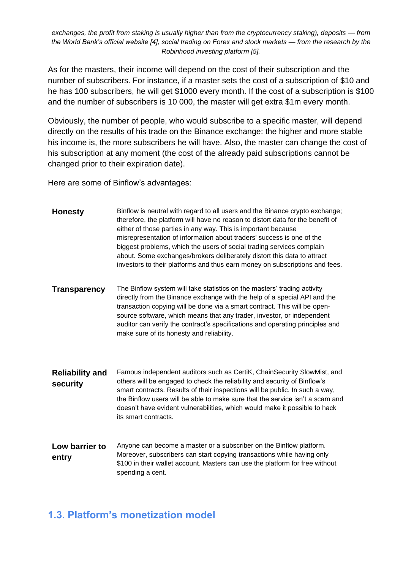*exchanges, the profit from staking is usually higher than from the cryptocurrency staking), deposits — from the World Bank's official website [4], social trading on Forex and stock markets — from the research by the Robinhood investing platform [5].*

As for the masters, their income will depend on the cost of their subscription and the number of subscribers. For instance, if a master sets the cost of a subscription of \$10 and he has 100 subscribers, he will get \$1000 every month. If the cost of a subscription is \$100 and the number of subscribers is 10 000, the master will get extra \$1m every month.

Obviously, the number of people, who would subscribe to a specific master, will depend directly on the results of his trade on the Binance exchange: the higher and more stable his income is, the more subscribers he will have. Also, the master can change the cost of his subscription at any moment (the cost of the already paid subscriptions cannot be changed prior to their expiration date).

Here are some of Binflow's advantages:

| <b>Honesty</b>                     | Binflow is neutral with regard to all users and the Binance crypto exchange;<br>therefore, the platform will have no reason to distort data for the benefit of<br>either of those parties in any way. This is important because<br>misrepresentation of information about traders' success is one of the<br>biggest problems, which the users of social trading services complain<br>about. Some exchanges/brokers deliberately distort this data to attract<br>investors to their platforms and thus earn money on subscriptions and fees. |
|------------------------------------|---------------------------------------------------------------------------------------------------------------------------------------------------------------------------------------------------------------------------------------------------------------------------------------------------------------------------------------------------------------------------------------------------------------------------------------------------------------------------------------------------------------------------------------------|
| <b>Transparency</b>                | The Binflow system will take statistics on the masters' trading activity<br>directly from the Binance exchange with the help of a special API and the<br>transaction copying will be done via a smart contract. This will be open-<br>source software, which means that any trader, investor, or independent<br>auditor can verify the contract's specifications and operating principles and<br>make sure of its honesty and reliability.                                                                                                  |
| <b>Reliability and</b><br>security | Famous independent auditors such as CertiK, ChainSecurity SlowMist, and<br>others will be engaged to check the reliability and security of Binflow's<br>smart contracts. Results of their inspections will be public. In such a way,<br>the Binflow users will be able to make sure that the service isn't a scam and<br>doesn't have evident vulnerabilities, which would make it possible to hack<br>its smart contracts.                                                                                                                 |
| Low barrier to<br>entry            | Anyone can become a master or a subscriber on the Binflow platform.<br>Moreover, subscribers can start copying transactions while having only<br>\$100 in their wallet account. Masters can use the platform for free without<br>spending a cent.                                                                                                                                                                                                                                                                                           |

#### **1.3. Platform's monetization model**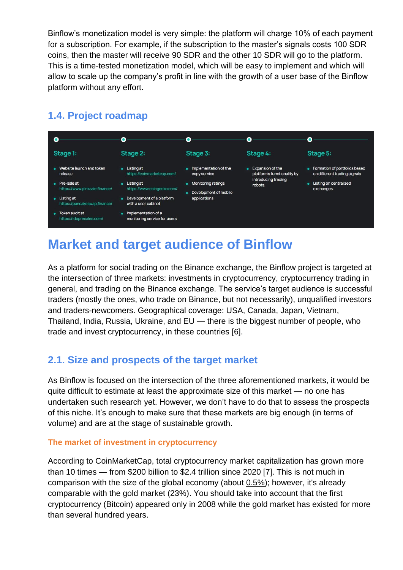Binflow's monetization model is very simple: the platform will charge 10% of each payment for a subscription. For example, if the subscription to the master's signals costs 100 SDR coins, then the master will receive 90 SDR and the other 10 SDR will go to the platform. This is a time-tested monetization model, which will be easy to implement and which will allow to scale up the company's profit in line with the growth of a user base of the Binflow platform without any effort.



## **1.4. Project roadmap**

# **Market and target audience of Binflow**

As a platform for social trading on the Binance exchange, the Binflow project is targeted at the intersection of three markets: investments in cryptocurrency, cryptocurrency trading in general, and trading on the Binance exchange. The service's target audience is successful traders (mostly the ones, who trade on Binance, but not necessarily), unqualified investors and traders-newcomers. Geographical coverage: USA, Canada, Japan, Vietnam, Thailand, India, Russia, Ukraine, and EU — there is the biggest number of people, who trade and invest cryptocurrency, in these countries [6].

## **2.1. Size and prospects of the target market**

As Binflow is focused on the intersection of the three aforementioned markets, it would be quite difficult to estimate at least the approximate size of this market — no one has undertaken such research yet. However, we don't have to do that to assess the prospects of this niche. It's enough to make sure that these markets are big enough (in terms of volume) and are at the stage of sustainable growth.

#### **The market of investment in cryptocurrency**

According to CoinMarketCap, total cryptocurrency market capitalization has grown more than 10 times — from \$200 billion to \$2.4 trillion since 2020 [7]. This is not much in comparison with the size of the global economy (abou[t](https://www.cnbc.com/2021/04/14/novogratz-says-bitcoin-other-cryptocurrencies-a-fraction-of-global-wealth.html) [0.5%\)](https://www.cnbc.com/2021/04/14/novogratz-says-bitcoin-other-cryptocurrencies-a-fraction-of-global-wealth.html); however, it's already comparable with the gold market (23%). You should take into account that the first cryptocurrency (Bitcoin) appeared only in 2008 while the gold market has existed for more than several hundred years.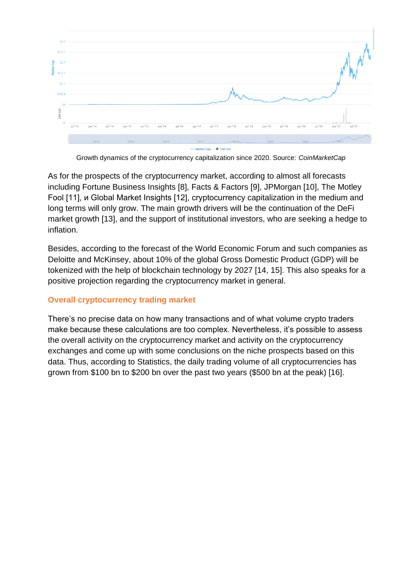

Growth dynamics of the cryptocurrency capitalization since 2020. Source: *CoinMarketCap*

As for the prospects of the cryptocurrency market, according to almost all forecasts including Fortune Business Insights [8], Facts & Factors [9], JPMorgan [10], The Motley Fool [11], и Global Market Insights [12], cryptocurrency capitalization in the medium and long terms will only grow. The main growth drivers will be the continuation of the DeFi market growth [13], and the support of institutional investors, who are seeking a hedge to inflation.

Besides, according to the forecast of the World Economic Forum and such companies as Deloitte and McKinsey, about 10% of the global Gross Domestic Product (GDP) will be tokenized with the help of blockchain technology by 2027 [14, 15]. This also speaks for a positive projection regarding the cryptocurrency market in general.

#### **Overall cryptocurrency trading market**

There's no precise data on how many transactions and of what volume crypto traders make because these calculations are too complex. Nevertheless, it's possible to assess the overall activity on the cryptocurrency market and activity on the cryptocurrency exchanges and come up with some conclusions on the niche prospects based on this data. Thus, according to Statistics, the daily trading volume of all cryptocurrencies has grown from \$100 bn to \$200 bn over the past two years (\$500 bn at the peak) [16].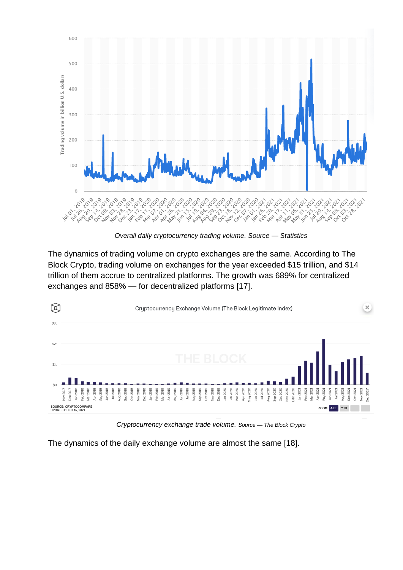

*Overall daily cryptocurrency trading volume. Source — Statistics*

The dynamics of trading volume on crypto exchanges are the same. According to The Block Crypto, trading volume on exchanges for the year exceeded \$15 trillion, and \$14 trillion of them accrue to centralized platforms. The growth was 689% for centralized exchanges and 858% — for decentralized platforms [17].



*Cryptocurrency exchange trade volume. Source — The Block Crypto*

The dynamics of the daily exchange volume are almost the same [18].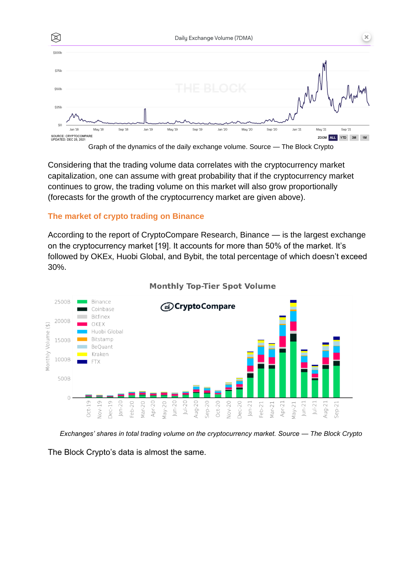

Considering that the trading volume data correlates with the cryptocurrency market capitalization, one can assume with great probability that if the cryptocurrency market continues to grow, the trading volume on this market will also grow proportionally (forecasts for the growth of the cryptocurrency market are given above).

#### **The market of crypto trading on Binance**

According to the report of CryptoCompare Research, Binance — is the largest exchange on the cryptocurrency market [19]. It accounts for more than 50% of the market. It's followed by OKEx, Huobi Global, and Bybit, the total percentage of which doesn't exceed 30%.



#### **Monthly Top-Tier Spot Volume**

*Exchanges' shares in total trading volume on the cryptocurrency market. Source — The Block Crypto*

The Block Crypto's data is almost the same.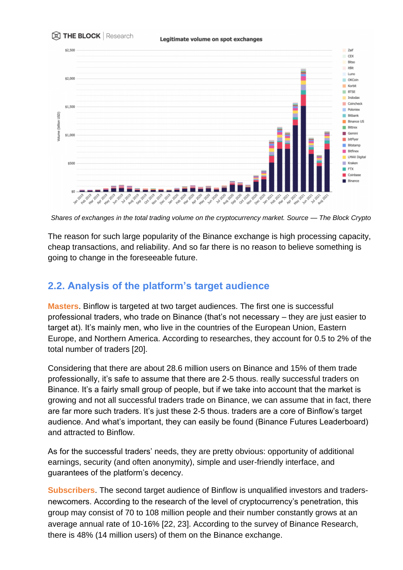

*Shares of exchanges in the total trading volume on the cryptocurrency market. Source — The Block Crypto* 

The reason for such large popularity of the Binance exchange is high processing capacity, cheap transactions, and reliability. And so far there is no reason to believe something is going to change in the foreseeable future.

## **2.2. Analysis of the platform's target audience**

**Masters**. Binflow is targeted at two target audiences. The first one is successful professional traders, who trade on Binance (that's not necessary – they are just easier to target at). It's mainly men, who live in the countries of the European Union, Eastern Europe, and Northern America. According to researches, they account for 0.5 to 2% of the total number of traders [20].

Considering that there are about 28.6 million users on Binance and 15% of them trade professionally, it's safe to assume that there are 2-5 thous. really successful traders on Binance. It's a fairly small group of people, but if we take into account that the market is growing and not all successful traders trade on Binance, we can assume that in fact, there are far more such traders. It's just these 2-5 thous. traders are a core of Binflow's target audience. And what's important, they can easily be found (Binance Futures Leaderboard) and attracted to Binflow.

As for the successful traders' needs, they are pretty obvious: opportunity of additional earnings, security (and often anonymity), simple and user-friendly interface, and guarantees of the platform's decency.

**Subscribers**. The second target audience of Binflow is unqualified investors and tradersnewcomers. According to the research of the level of cryptocurrency's penetration, this group may consist of 70 to 108 million people and their number constantly grows at an average annual rate of 10-16% [22, 23]. According to the survey of Binance Research, there is 48% (14 million users) of them on the Binance exchange.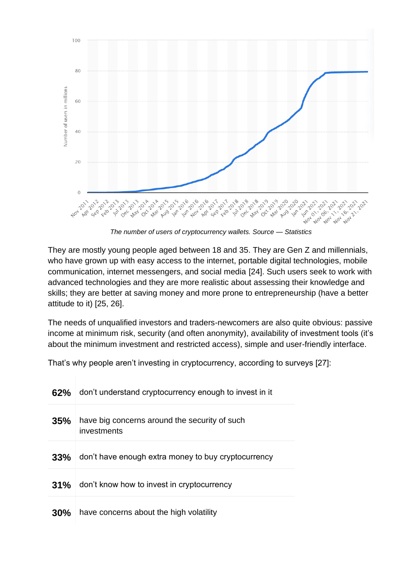

They are mostly young people aged between 18 and 35. They are Gen Z and millennials, who have grown up with easy access to the internet, portable digital technologies, mobile communication, internet messengers, and social media [24]. Such users seek to work with advanced technologies and they are more realistic about assessing their knowledge and skills; they are better at saving money and more prone to entrepreneurship (have a better attitude to it) [25, 26].

The needs of unqualified investors and traders-newcomers are also quite obvious: passive income at minimum risk, security (and often anonymity), availability of investment tools (it's about the minimum investment and restricted access), simple and user-friendly interface.

That's why people aren't investing in cryptocurrency, according to surveys [27]:

| 62% | don't understand cryptocurrency enough to invest in it       |
|-----|--------------------------------------------------------------|
| 35% | have big concerns around the security of such<br>investments |
| 33% | don't have enough extra money to buy cryptocurrency          |
| 31% | don't know how to invest in cryptocurrency                   |
| 30% | have concerns about the high volatility                      |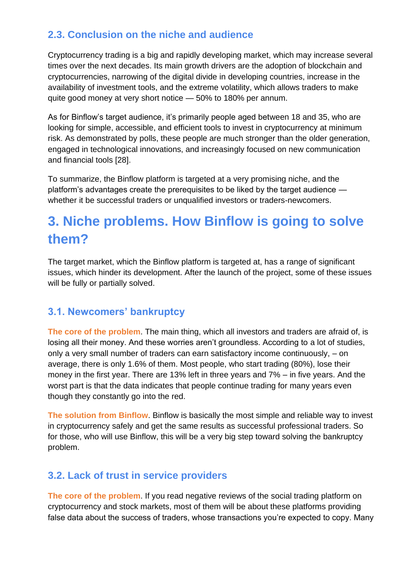## **2.3. Conclusion on the niche and audience**

Cryptocurrency trading is a big and rapidly developing market, which may increase several times over the next decades. Its main growth drivers are the adoption of blockchain and cryptocurrencies, narrowing of the digital divide in developing countries, increase in the availability of investment tools, and the extreme volatility, which allows traders to make quite good money at very short notice — 50% to 180% per annum.

As for Binflow's target audience, it's primarily people aged between 18 and 35, who are looking for simple, accessible, and efficient tools to invest in cryptocurrency at minimum risk. As demonstrated by polls, these people are much stronger than the older generation, engaged in technological innovations, and increasingly focused on new communication and financial tools [28].

To summarize, the Binflow platform is targeted at a very promising niche, and the platform's advantages create the prerequisites to be liked by the target audience whether it be successful traders or unqualified investors or traders-newcomers.

# **3. Niche problems. How Binflow is going to solve them?**

The target market, which the Binflow platform is targeted at, has a range of significant issues, which hinder its development. After the launch of the project, some of these issues will be fully or partially solved.

## **3.1. Newcomers' bankruptcy**

**The core of the problem**. The main thing, which all investors and traders are afraid of, is losing all their money. And these worries aren't groundless. According to a lot of studies, only a very small number of traders can earn satisfactory income continuously, – on average, there is only 1.6% of them. Most people, who start trading (80%), lose their money in the first year. There are 13% left in three years and 7% – in five years. And the worst part is that the data indicates that people continue trading for many years even though they constantly go into the red.

**The solution from Binflow**. Binflow is basically the most simple and reliable way to invest in cryptocurrency safely and get the same results as successful professional traders. So for those, who will use Binflow, this will be a very big step toward solving the bankruptcy problem.

## **3.2. Lack of trust in service providers**

**The core of the problem**. If you read negative reviews of the social trading platform on cryptocurrency and stock markets, most of them will be about these platforms providing false data about the success of traders, whose transactions you're expected to copy. Many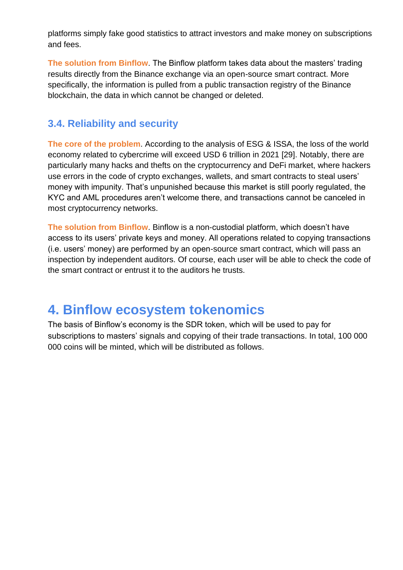platforms simply fake good statistics to attract investors and make money on subscriptions and fees.

**The solution from Binflow**. The Binflow platform takes data about the masters' trading results directly from the Binance exchange via an open-source smart contract. More specifically, the information is pulled from a public transaction registry of the Binance blockchain, the data in which cannot be changed or deleted.

## **3.4. Reliability and security**

**The core of the problem**. According to the analysis of ESG & ISSA, the loss of the world economy related to cybercrime will exceed USD 6 trillion in 2021 [29]. Notably, there are particularly many hacks and thefts on the cryptocurrency and DeFi market, where hackers use errors in the code of crypto exchanges, wallets, and smart contracts to steal users' money with impunity. That's unpunished because this market is still poorly regulated, the KYC and AML procedures aren't welcome there, and transactions cannot be canceled in most cryptocurrency networks.

**The solution from Binflow**. Binflow is a non-custodial platform, which doesn't have access to its users' private keys and money. All operations related to copying transactions (i.e. users' money) are performed by an open-source smart contract, which will pass an inspection by independent auditors. Of course, each user will be able to check the code of the smart contract or entrust it to the auditors he trusts.

## **4. Binflow ecosystem tokenomics**

The basis of Binflow's economy is the SDR token, which will be used to pay for subscriptions to masters' signals and copying of their trade transactions. In total, 100 000 000 coins will be minted, which will be distributed as follows.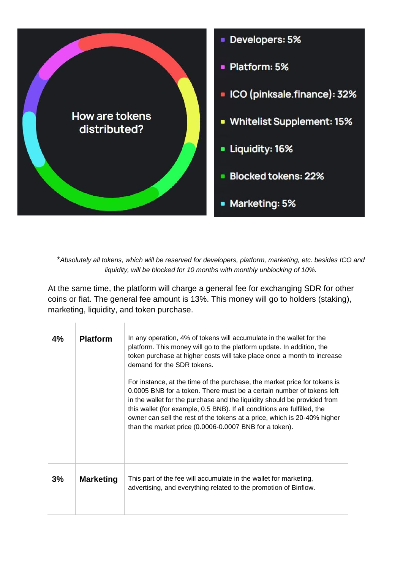

\**Absolutely all tokens, which will be reserved for developers, platform, marketing, etc. besides ICO and liquidity, will be blocked for 10 months with monthly unblocking of 10%.*

At the same time, the platform will charge a general fee for exchanging SDR for other coins or fiat. The general fee amount is 13%. This money will go to holders (staking), marketing, liquidity, and token purchase.

Î.

ï

| 4% | <b>Platform</b>  | In any operation, 4% of tokens will accumulate in the wallet for the<br>platform. This money will go to the platform update. In addition, the<br>token purchase at higher costs will take place once a month to increase<br>demand for the SDR tokens.<br>For instance, at the time of the purchase, the market price for tokens is<br>0.0005 BNB for a token. There must be a certain number of tokens left<br>in the wallet for the purchase and the liquidity should be provided from<br>this wallet (for example, 0.5 BNB). If all conditions are fulfilled, the<br>owner can sell the rest of the tokens at a price, which is 20-40% higher<br>than the market price (0.0006-0.0007 BNB for a token). |
|----|------------------|------------------------------------------------------------------------------------------------------------------------------------------------------------------------------------------------------------------------------------------------------------------------------------------------------------------------------------------------------------------------------------------------------------------------------------------------------------------------------------------------------------------------------------------------------------------------------------------------------------------------------------------------------------------------------------------------------------|
| 3% | <b>Marketing</b> | This part of the fee will accumulate in the wallet for marketing,<br>advertising, and everything related to the promotion of Binflow.                                                                                                                                                                                                                                                                                                                                                                                                                                                                                                                                                                      |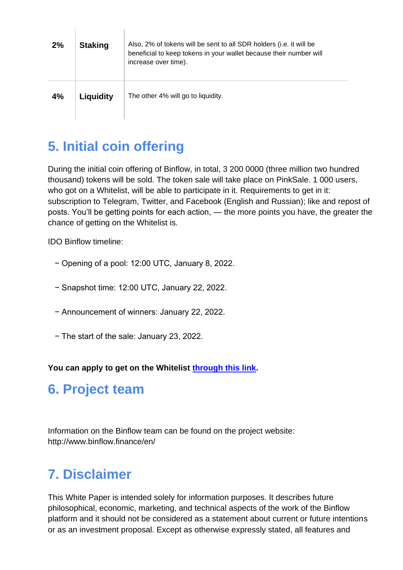| 2% | <b>Staking</b> | Also, 2% of tokens will be sent to all SDR holders (i.e. it will be<br>beneficial to keep tokens in your wallet because their number will<br>increase over time). |
|----|----------------|-------------------------------------------------------------------------------------------------------------------------------------------------------------------|
| 4% | Liquidity      | The other 4% will go to liquidity.                                                                                                                                |

# **5. Initial coin offering**

 $\mathbb{R}$ 

During the initial coin offering of Binflow, in total, 3 200 0000 (three million two hundred thousand) tokens will be sold. The token sale will take place on PinkSale. 1 000 users, who got on a Whitelist, will be able to participate in it. Requirements to get in it: subscription to Telegram, Twitter, and Facebook (English and Russian); like and repost of posts. You'll be getting points for each action, — the more points you have, the greater the chance of getting on the Whitelist is.

IDO Binflow timeline:

 $\mathbb{L}$ 

- − Opening of a pool: 12:00 UTC, January 8, 2022.
- − Snapshot time: 12:00 UTC, January 22, 2022.
- − Announcement of winners: January 22, 2022.
- − The start of the sale: January 23, 2022.

You can apply to get on the Whitelist **through this link**.

# **6. Project team**

Information on the Binflow team can be found on the project website: http://www.binflow.finance/en/

# **7. Disclaimer**

This White Paper is intended solely for information purposes. It describes future philosophical, economic, marketing, and technical aspects of the work of the Binflow platform and it should not be considered as a statement about current or future intentions or as an investment proposal. Except as otherwise expressly stated, all features and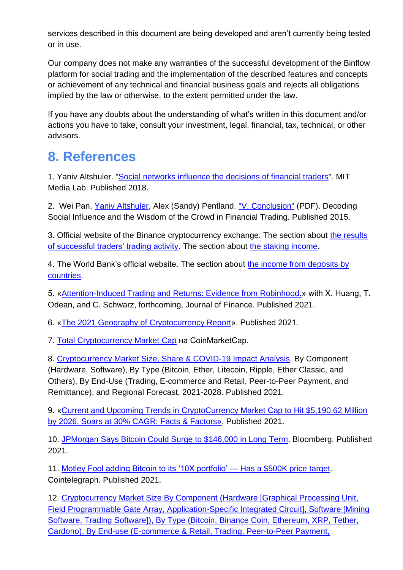services described in this document are being developed and aren't currently being tested or in use.

Our company does not make any warranties of the successful development of the Binflow platform for social trading and the implementation of the described features and concepts or achievement of any technical and financial business goals and rejects all obligations implied by the law or otherwise, to the extent permitted under the law.

If you have any doubts about the understanding of what's written in this document and/or actions you have to take, consult your investment, legal, financial, tax, technical, or other advisors.

# **8. References**

1. Yaniv Altshuler. ["Social networks influence the decisions of financial traders"](http://socialphysics.media.mit.edu/blog/2015/8/4/social-networks-influence-the-decisions-of-financial-traders). MIT Media Lab. Published 2018.

2. Wei Pan, [Yaniv Altshuler,](https://en.wikipedia.org/wiki/Yaniv_Altshuler) Alex (Sandy) Pentland. ["V. Conclusion"](http://alumni.media.mit.edu/~panwei/pub/socialcom12.pdf) (PDF). Decoding Social Influence and the Wisdom of the Crowd in Financial Trading. Published 2015.

3. Official website of the Binance cryptocurrency exchange. The section about the results of successful traders' trading activity. The section abou[t](http://www.binance.com/en/defi-staking) [the staking income.](http://www.binance.com/en/defi-staking)

4. The World Bank's official website. The section abou[t](https://data.worldbank.org/indicator/FR.INR.LNDP?locations=XT) [the income from deposits by](https://data.worldbank.org/indicator/FR.INR.LNDP?locations=XT)  [countries.](https://data.worldbank.org/indicator/FR.INR.LNDP?locations=XT)

5. [«Attention-Induced Trading and Returns: Evidence from Robinhood.»](https://papers.ssrn.com/sol3/papers.cfm?abstract_id=3715077) with X. Huang, T. Odean, and C. Schwarz, forthcoming, Journal of Finance. Published 2021.

6. [«The 2021 Geography of Cryptocurrency Report»](https://bitcoinke.io/wp-content/uploads/2021/10/Geography-of-Cryptocurrency-2021.pdf). Published 2021.

7. Total [Cryptocurrency Market Cap](https://coinmarketcap.com/charts/) на CoinMarketCap.

8. [Cryptocurrency Market Size, Share & COVID-19 Impact Analysis,](https://www.fortunebusinessinsights.com/industry-reports/cryptocurrency-market-100149) By Component (Hardware, Software), By Type (Bitcoin, Ether, Litecoin, Ripple, Ether Classic, and Others), By End-Use (Trading, E-commerce and Retail, Peer-to-Peer Payment, and Remittance), and Regional Forecast, 2021-2028. Published 2021.

9. [«Current and Upcoming Trends in CryptoCurrency Market Cap to Hit \\$5,190.62 Million](https://www.globenewswire.com/news-release/2021/02/23/2180372/0/en/Current-and-Upcoming-Trends-in-CryptoCurrency-Market-Cap-to-Hit-5-190-62-Million-by-2026-Soars-at-30-CAGR-Facts-Factors.html)  by 2026, Soars at [30% CAGR: Facts & Factors»](https://www.globenewswire.com/news-release/2021/02/23/2180372/0/en/Current-and-Upcoming-Trends-in-CryptoCurrency-Market-Cap-to-Hit-5-190-62-Million-by-2026-Soars-at-30-CAGR-Facts-Factors.html). Published 2021.

10. [JPMorgan Says Bitcoin Could Surge to \\$146,000 in Long Term.](https://www.bloomberg.com/news/articles/2021-01-05/jpmorgan-sees-146-000-plus-bitcoin-price-as-long-term-target?sref=Y0jVLcFo) Bloomberg. Published 2021.

11. [Motley Fool adding Bitcoin to its '10X portfolio' —](https://cointelegraph.com/news/motley-fool-adding-5m-in-bitcoin-to-its-10x-portfolio-has-a-500k-price-target) Has a \$500K price target. Cointelegraph. Published 2021.

12. [Cryptocurrency Market Size By Component \(Hardware \[Graphical Processing Unit,](https://www.gminsights.com/industry-analysis/cryptocurrency-market)  [Field Programmable Gate Array, Application-Specific Integrated Circuit\], Software \[Mining](https://www.gminsights.com/industry-analysis/cryptocurrency-market)  Software, Trading Software]), By Type (Bitcoin, Binance Coin, Ethereum, XRP, Tether, [Cardono\), By End-use \(E-commerce & Retail, Trading, Peer-to-Peer Payment,](https://www.gminsights.com/industry-analysis/cryptocurrency-market)